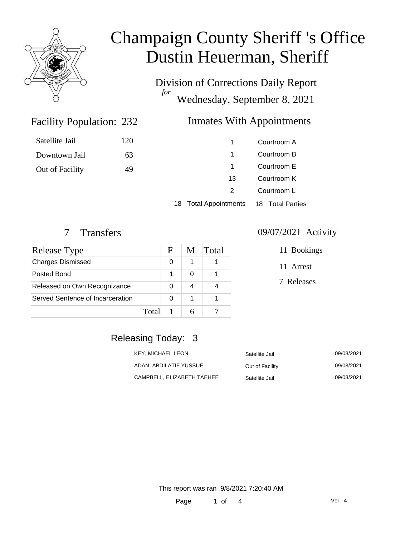

Division of Corrections Daily Report *for* Wednesday, September 8, 2021

### Inmates With Appointments

| Satellite Jail  | 120 |     | Courtroom A |
|-----------------|-----|-----|-------------|
| Downtown Jail   | 63  |     | Courtroom B |
| Out of Facility | 49  |     | Courtroom E |
|                 |     | 13. | Courtroom K |
|                 |     |     | Courtroom L |

18 Total Appointments 18 Total Parties

Facility Population: 232

| Release Type                     |       | н | M | Total |
|----------------------------------|-------|---|---|-------|
| <b>Charges Dismissed</b>         |       | 0 |   |       |
| Posted Bond                      |       |   |   |       |
| Released on Own Recognizance     |       | O |   |       |
| Served Sentence of Incarceration |       | O | 1 |       |
|                                  | Total |   |   |       |

#### 7 Transfers 09/07/2021 Activity

11 Bookings

11 Arrest

7 Releases

### Releasing Today: 3

| KEY. MICHAEL LEON          | Satellite Jail  | 09/08/2021 |
|----------------------------|-----------------|------------|
| ADAN, ABDILATIF YUSSUF     | Out of Facility | 09/08/2021 |
| CAMPBELL. ELIZABETH TAEHEE | Satellite Jail  | 09/08/2021 |

This report was ran 9/8/2021 7:20:40 AM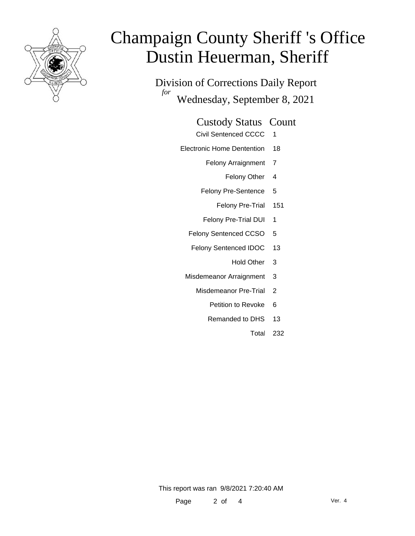

Division of Corrections Daily Report *for* Wednesday, September 8, 2021

#### Custody Status Count

- Civil Sentenced CCCC 1
- Electronic Home Dentention 18
	- Felony Arraignment 7
		- Felony Other 4
	- Felony Pre-Sentence 5
		- Felony Pre-Trial 151
	- Felony Pre-Trial DUI 1
	- Felony Sentenced CCSO 5
	- Felony Sentenced IDOC 13
		- Hold Other 3
	- Misdemeanor Arraignment 3
		- Misdemeanor Pre-Trial 2
			- Petition to Revoke 6
			- Remanded to DHS 13
				- Total 232

This report was ran 9/8/2021 7:20:40 AM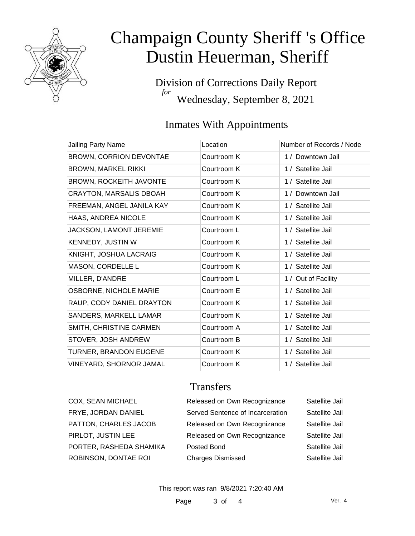

Division of Corrections Daily Report *for* Wednesday, September 8, 2021

## Inmates With Appointments

| Jailing Party Name             | Location    | Number of Records / Node |
|--------------------------------|-------------|--------------------------|
| BROWN, CORRION DEVONTAE        | Courtroom K | 1 / Downtown Jail        |
| <b>BROWN, MARKEL RIKKI</b>     | Courtroom K | 1 / Satellite Jail       |
| BROWN, ROCKEITH JAVONTE        | Courtroom K | 1 / Satellite Jail       |
| <b>CRAYTON, MARSALIS DBOAH</b> | Courtroom K | 1 / Downtown Jail        |
| FREEMAN, ANGEL JANILA KAY      | Courtroom K | 1 / Satellite Jail       |
| HAAS, ANDREA NICOLE            | Courtroom K | 1 / Satellite Jail       |
| JACKSON, LAMONT JEREMIE        | Courtroom L | 1 / Satellite Jail       |
| <b>KENNEDY, JUSTIN W</b>       | Courtroom K | 1 / Satellite Jail       |
| KNIGHT, JOSHUA LACRAIG         | Courtroom K | 1 / Satellite Jail       |
| MASON, CORDELLE L              | Courtroom K | 1 / Satellite Jail       |
| MILLER, D'ANDRE                | Courtroom L | 1 / Out of Facility      |
| OSBORNE, NICHOLE MARIE         | Courtroom E | 1 / Satellite Jail       |
| RAUP, CODY DANIEL DRAYTON      | Courtroom K | 1 / Satellite Jail       |
| SANDERS, MARKELL LAMAR         | Courtroom K | 1 / Satellite Jail       |
| SMITH, CHRISTINE CARMEN        | Courtroom A | 1 / Satellite Jail       |
| STOVER, JOSH ANDREW            | Courtroom B | 1 / Satellite Jail       |
| TURNER, BRANDON EUGENE         | Courtroom K | 1 / Satellite Jail       |
| VINEYARD, SHORNOR JAMAL        | Courtroom K | 1 / Satellite Jail       |

## **Transfers**

| COX, SEAN MICHAEL       | Released on Own Recognizance     | Satellite Jail |
|-------------------------|----------------------------------|----------------|
| FRYE, JORDAN DANIEL     | Served Sentence of Incarceration | Satellite Jail |
| PATTON, CHARLES JACOB   | Released on Own Recognizance     | Satellite Jail |
| PIRLOT, JUSTIN LEE      | Released on Own Recognizance     | Satellite Jail |
| PORTER, RASHEDA SHAMIKA | Posted Bond                      | Satellite Jail |
| ROBINSON, DONTAE ROI    | <b>Charges Dismissed</b>         | Satellite Jail |